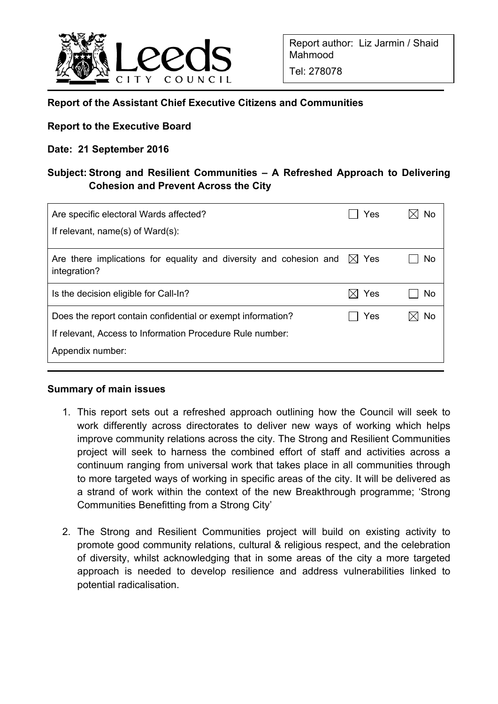

Tel: 278078

### **Report of the Assistant Chief Executive Citizens and Communities**

### **Report to the Executive Board**

### **Date: 21 September 2016**

# **Subject: Strong and Resilient Communities – A Refreshed Approach to Delivering Cohesion and Prevent Across the City**

| Yes              |                 |
|------------------|-----------------|
|                  |                 |
|                  | No.             |
| Yes<br>$\bowtie$ | No              |
| Yes              | No              |
|                  |                 |
|                  |                 |
|                  | $\boxtimes$ Yes |

#### **Summary of main issues**

- 1. This report sets out a refreshed approach outlining how the Council will seek to work differently across directorates to deliver new ways of working which helps improve community relations across the city. The Strong and Resilient Communities project will seek to harness the combined effort of staff and activities across a continuum ranging from universal work that takes place in all communities through to more targeted ways of working in specific areas of the city. It will be delivered as a strand of work within the context of the new Breakthrough programme; 'Strong Communities Benefitting from a Strong City'
- 2. The Strong and Resilient Communities project will build on existing activity to promote good community relations, cultural & religious respect, and the celebration of diversity, whilst acknowledging that in some areas of the city a more targeted approach is needed to develop resilience and address vulnerabilities linked to potential radicalisation.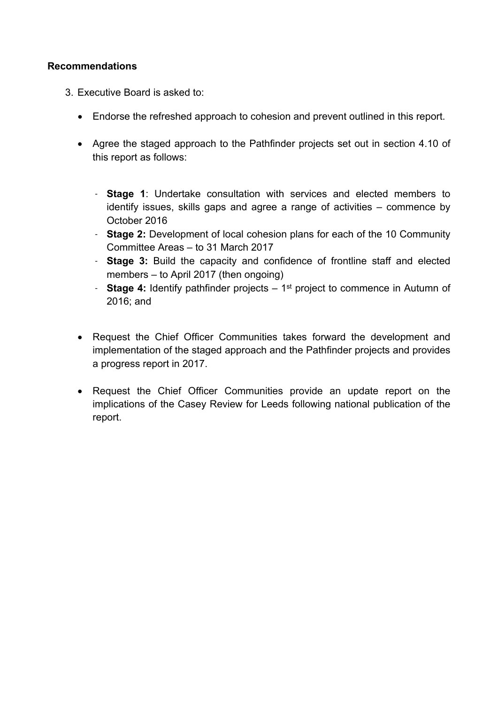### **Recommendations**

- 3. Executive Board is asked to:
	- Endorse the refreshed approach to cohesion and prevent outlined in this report.
	- Agree the staged approach to the Pathfinder projects set out in section 4.10 of this report as follows:
		- **Stage 1**: Undertake consultation with services and elected members to identify issues, skills gaps and agree a range of activities – commence by October 2016
		- **Stage 2:** Development of local cohesion plans for each of the 10 Community Committee Areas – to 31 March 2017
		- **Stage 3:** Build the capacity and confidence of frontline staff and elected members – to April 2017 (then ongoing)
		- **Stage 4:** Identify pathfinder projects 1<sup>st</sup> project to commence in Autumn of 2016; and
	- Request the Chief Officer Communities takes forward the development and implementation of the staged approach and the Pathfinder projects and provides a progress report in 2017.
	- Request the Chief Officer Communities provide an update report on the implications of the Casey Review for Leeds following national publication of the report.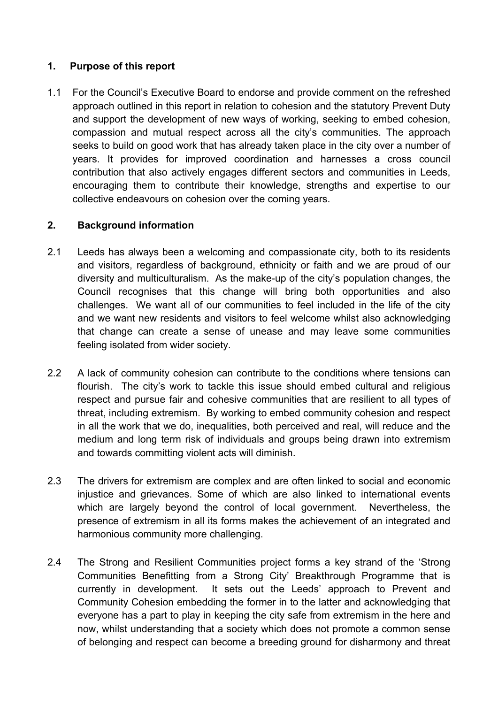# **1. Purpose of this report**

1.1 For the Council's Executive Board to endorse and provide comment on the refreshed approach outlined in this report in relation to cohesion and the statutory Prevent Duty and support the development of new ways of working, seeking to embed cohesion, compassion and mutual respect across all the city's communities. The approach seeks to build on good work that has already taken place in the city over a number of years. It provides for improved coordination and harnesses a cross council contribution that also actively engages different sectors and communities in Leeds, encouraging them to contribute their knowledge, strengths and expertise to our collective endeavours on cohesion over the coming years.

# **2. Background information**

- 2.1 Leeds has always been a welcoming and compassionate city, both to its residents and visitors, regardless of background, ethnicity or faith and we are proud of our diversity and multiculturalism. As the make-up of the city's population changes, the Council recognises that this change will bring both opportunities and also challenges. We want all of our communities to feel included in the life of the city and we want new residents and visitors to feel welcome whilst also acknowledging that change can create a sense of unease and may leave some communities feeling isolated from wider society.
- 2.2 A lack of community cohesion can contribute to the conditions where tensions can flourish. The city's work to tackle this issue should embed cultural and religious respect and pursue fair and cohesive communities that are resilient to all types of threat, including extremism. By working to embed community cohesion and respect in all the work that we do, inequalities, both perceived and real, will reduce and the medium and long term risk of individuals and groups being drawn into extremism and towards committing violent acts will diminish.
- 2.3 The drivers for extremism are complex and are often linked to social and economic injustice and grievances. Some of which are also linked to international events which are largely beyond the control of local government. Nevertheless, the presence of extremism in all its forms makes the achievement of an integrated and harmonious community more challenging.
- 2.4 The Strong and Resilient Communities project forms a key strand of the 'Strong Communities Benefitting from a Strong City' Breakthrough Programme that is currently in development. It sets out the Leeds' approach to Prevent and Community Cohesion embedding the former in to the latter and acknowledging that everyone has a part to play in keeping the city safe from extremism in the here and now, whilst understanding that a society which does not promote a common sense of belonging and respect can become a breeding ground for disharmony and threat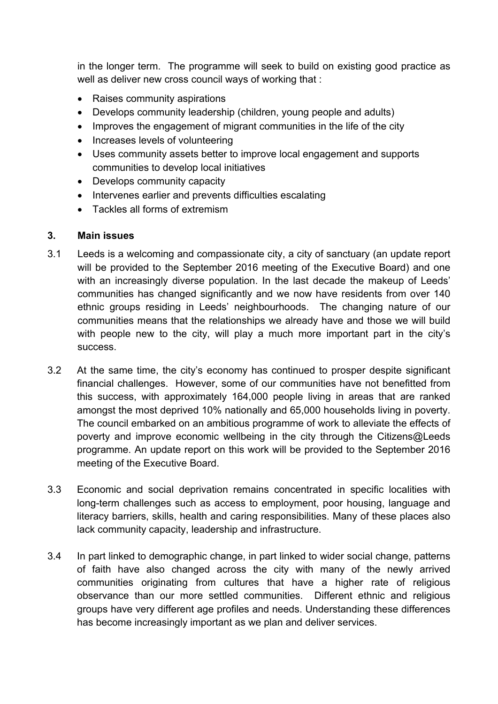in the longer term. The programme will seek to build on existing good practice as well as deliver new cross council ways of working that :

- Raises community aspirations
- Develops community leadership (children, young people and adults)
- Improves the engagement of migrant communities in the life of the city
- Increases levels of volunteering
- Uses community assets better to improve local engagement and supports communities to develop local initiatives
- Develops community capacity
- Intervenes earlier and prevents difficulties escalating
- Tackles all forms of extremism

#### **3. Main issues**

- 3.1 Leeds is a welcoming and compassionate city, a city of sanctuary (an update report will be provided to the September 2016 meeting of the Executive Board) and one with an increasingly diverse population. In the last decade the makeup of Leeds' communities has changed significantly and we now have residents from over 140 ethnic groups residing in Leeds' neighbourhoods. The changing nature of our communities means that the relationships we already have and those we will build with people new to the city, will play a much more important part in the city's success.
- 3.2 At the same time, the city's economy has continued to prosper despite significant financial challenges. However, some of our communities have not benefitted from this success, with approximately 164,000 people living in areas that are ranked amongst the most deprived 10% nationally and 65,000 households living in poverty. The council embarked on an ambitious programme of work to alleviate the effects of poverty and improve economic wellbeing in the city through the Citizens@Leeds programme. An update report on this work will be provided to the September 2016 meeting of the Executive Board.
- 3.3 Economic and social deprivation remains concentrated in specific localities with long-term challenges such as access to employment, poor housing, language and literacy barriers, skills, health and caring responsibilities. Many of these places also lack community capacity, leadership and infrastructure.
- 3.4 In part linked to demographic change, in part linked to wider social change, patterns of faith have also changed across the city with many of the newly arrived communities originating from cultures that have a higher rate of religious observance than our more settled communities. Different ethnic and religious groups have very different age profiles and needs. Understanding these differences has become increasingly important as we plan and deliver services.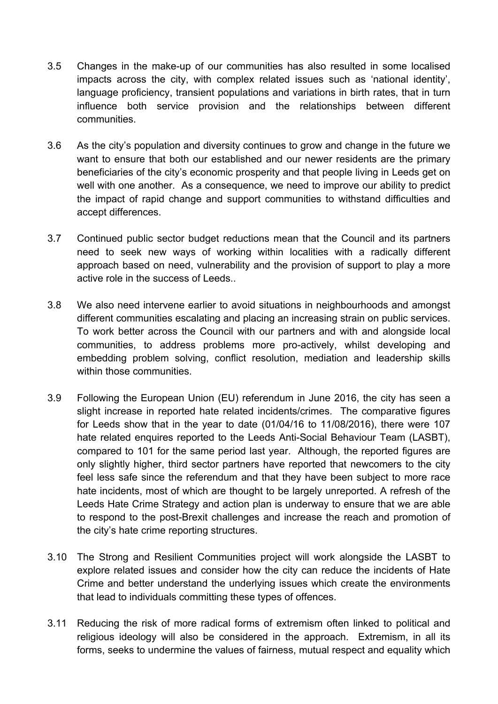- 3.5 Changes in the make-up of our communities has also resulted in some localised impacts across the city, with complex related issues such as 'national identity', language proficiency, transient populations and variations in birth rates, that in turn influence both service provision and the relationships between different communities.
- 3.6 As the city's population and diversity continues to grow and change in the future we want to ensure that both our established and our newer residents are the primary beneficiaries of the city's economic prosperity and that people living in Leeds get on well with one another. As a consequence, we need to improve our ability to predict the impact of rapid change and support communities to withstand difficulties and accept differences.
- 3.7 Continued public sector budget reductions mean that the Council and its partners need to seek new ways of working within localities with a radically different approach based on need, vulnerability and the provision of support to play a more active role in the success of Leeds..
- 3.8 We also need intervene earlier to avoid situations in neighbourhoods and amongst different communities escalating and placing an increasing strain on public services. To work better across the Council with our partners and with and alongside local communities, to address problems more pro-actively, whilst developing and embedding problem solving, conflict resolution, mediation and leadership skills within those communities.
- 3.9 Following the European Union (EU) referendum in June 2016, the city has seen a slight increase in reported hate related incidents/crimes. The comparative figures for Leeds show that in the year to date (01/04/16 to 11/08/2016), there were 107 hate related enquires reported to the Leeds Anti-Social Behaviour Team (LASBT), compared to 101 for the same period last year. Although, the reported figures are only slightly higher, third sector partners have reported that newcomers to the city feel less safe since the referendum and that they have been subject to more race hate incidents, most of which are thought to be largely unreported. A refresh of the Leeds Hate Crime Strategy and action plan is underway to ensure that we are able to respond to the post-Brexit challenges and increase the reach and promotion of the city's hate crime reporting structures.
- 3.10 The Strong and Resilient Communities project will work alongside the LASBT to explore related issues and consider how the city can reduce the incidents of Hate Crime and better understand the underlying issues which create the environments that lead to individuals committing these types of offences.
- 3.11 Reducing the risk of more radical forms of extremism often linked to political and religious ideology will also be considered in the approach. Extremism, in all its forms, seeks to undermine the values of fairness, mutual respect and equality which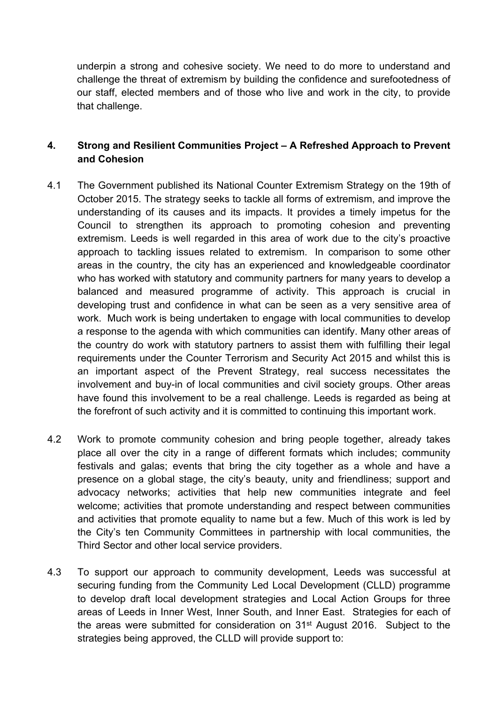underpin a strong and cohesive society. We need to do more to understand and challenge the threat of extremism by building the confidence and surefootedness of our staff, elected members and of those who live and work in the city, to provide that challenge.

# **4. Strong and Resilient Communities Project – A Refreshed Approach to Prevent and Cohesion**

- 4.1 The Government published its National Counter Extremism Strategy on the 19th of October 2015. The strategy seeks to tackle all forms of extremism, and improve the understanding of its causes and its impacts. It provides a timely impetus for the Council to strengthen its approach to promoting cohesion and preventing extremism. Leeds is well regarded in this area of work due to the city's proactive approach to tackling issues related to extremism. In comparison to some other areas in the country, the city has an experienced and knowledgeable coordinator who has worked with statutory and community partners for many years to develop a balanced and measured programme of activity. This approach is crucial in developing trust and confidence in what can be seen as a very sensitive area of work. Much work is being undertaken to engage with local communities to develop a response to the agenda with which communities can identify. Many other areas of the country do work with statutory partners to assist them with fulfilling their legal requirements under the Counter Terrorism and Security Act 2015 and whilst this is an important aspect of the Prevent Strategy, real success necessitates the involvement and buy-in of local communities and civil society groups. Other areas have found this involvement to be a real challenge. Leeds is regarded as being at the forefront of such activity and it is committed to continuing this important work.
- 4.2 Work to promote community cohesion and bring people together, already takes place all over the city in a range of different formats which includes; community festivals and galas; events that bring the city together as a whole and have a presence on a global stage, the city's beauty, unity and friendliness; support and advocacy networks; activities that help new communities integrate and feel welcome; activities that promote understanding and respect between communities and activities that promote equality to name but a few. Much of this work is led by the City's ten Community Committees in partnership with local communities, the Third Sector and other local service providers.
- 4.3 To support our approach to community development, Leeds was successful at securing funding from the Community Led Local Development (CLLD) programme to develop draft local development strategies and Local Action Groups for three areas of Leeds in Inner West, Inner South, and Inner East. Strategies for each of the areas were submitted for consideration on 31st August 2016. Subject to the strategies being approved, the CLLD will provide support to: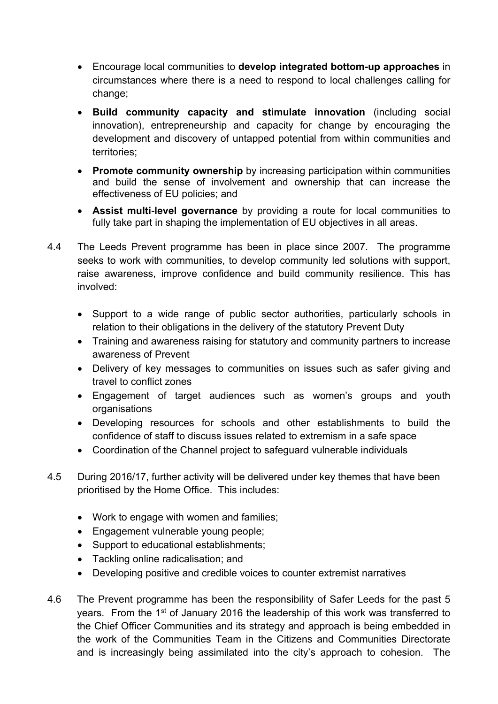- Encourage local communities to **develop integrated bottom-up approaches** in circumstances where there is a need to respond to local challenges calling for change;
- **Build community capacity and stimulate innovation** (including social innovation), entrepreneurship and capacity for change by encouraging the development and discovery of untapped potential from within communities and territories;
- **Promote community ownership** by increasing participation within communities and build the sense of involvement and ownership that can increase the effectiveness of EU policies; and
- **Assist multi-level governance** by providing a route for local communities to fully take part in shaping the implementation of EU objectives in all areas.
- 4.4 The Leeds Prevent programme has been in place since 2007. The programme seeks to work with communities, to develop community led solutions with support, raise awareness, improve confidence and build community resilience. This has involved:
	- Support to a wide range of public sector authorities, particularly schools in relation to their obligations in the delivery of the statutory Prevent Duty
	- Training and awareness raising for statutory and community partners to increase awareness of Prevent
	- Delivery of key messages to communities on issues such as safer giving and travel to conflict zones
	- Engagement of target audiences such as women's groups and youth organisations
	- Developing resources for schools and other establishments to build the confidence of staff to discuss issues related to extremism in a safe space
	- Coordination of the Channel project to safeguard vulnerable individuals
- 4.5 During 2016/17, further activity will be delivered under key themes that have been prioritised by the Home Office. This includes:
	- Work to engage with women and families;
	- Engagement vulnerable young people;
	- Support to educational establishments;
	- Tackling online radicalisation: and
	- Developing positive and credible voices to counter extremist narratives
- 4.6 The Prevent programme has been the responsibility of Safer Leeds for the past 5 years. From the 1<sup>st</sup> of January 2016 the leadership of this work was transferred to the Chief Officer Communities and its strategy and approach is being embedded in the work of the Communities Team in the Citizens and Communities Directorate and is increasingly being assimilated into the city's approach to cohesion. The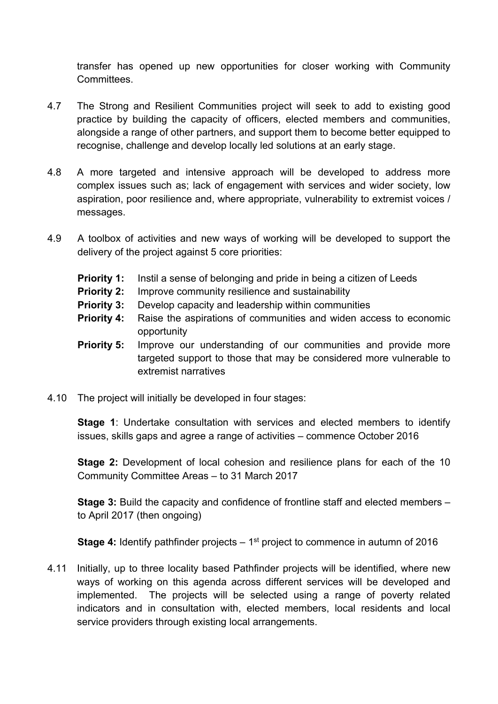transfer has opened up new opportunities for closer working with Community Committees.

- 4.7 The Strong and Resilient Communities project will seek to add to existing good practice by building the capacity of officers, elected members and communities, alongside a range of other partners, and support them to become better equipped to recognise, challenge and develop locally led solutions at an early stage.
- 4.8 A more targeted and intensive approach will be developed to address more complex issues such as; lack of engagement with services and wider society, low aspiration, poor resilience and, where appropriate, vulnerability to extremist voices / messages.
- 4.9 A toolbox of activities and new ways of working will be developed to support the delivery of the project against 5 core priorities:
	- **Priority 1:** Instil a sense of belonging and pride in being a citizen of Leeds
	- **Priority 2:** Improve community resilience and sustainability
	- **Priority 3:** Develop capacity and leadership within communities
	- **Priority 4:** Raise the aspirations of communities and widen access to economic opportunity
	- **Priority 5:** Improve our understanding of our communities and provide more targeted support to those that may be considered more vulnerable to extremist narratives
- 4.10 The project will initially be developed in four stages:

**Stage 1**: Undertake consultation with services and elected members to identify issues, skills gaps and agree a range of activities – commence October 2016

**Stage 2:** Development of local cohesion and resilience plans for each of the 10 Community Committee Areas – to 31 March 2017

**Stage 3:** Build the capacity and confidence of frontline staff and elected members – to April 2017 (then ongoing)

**Stage 4:** Identify pathfinder projects – 1<sup>st</sup> project to commence in autumn of 2016

4.11 Initially, up to three locality based Pathfinder projects will be identified, where new ways of working on this agenda across different services will be developed and implemented. The projects will be selected using a range of poverty related indicators and in consultation with, elected members, local residents and local service providers through existing local arrangements.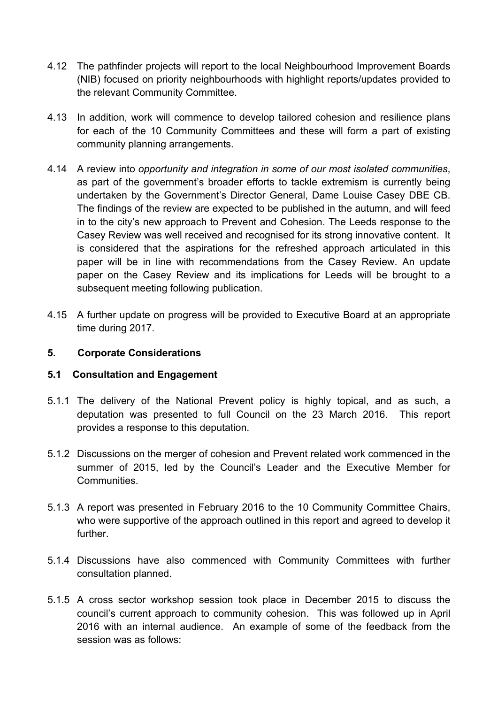- 4.12 The pathfinder projects will report to the local Neighbourhood Improvement Boards (NIB) focused on priority neighbourhoods with highlight reports/updates provided to the relevant Community Committee.
- 4.13 In addition, work will commence to develop tailored cohesion and resilience plans for each of the 10 Community Committees and these will form a part of existing community planning arrangements.
- 4.14 A review into *opportunity and integration in some of our most isolated communities*, as part of the government's broader efforts to tackle extremism is currently being undertaken by the Government's Director General, Dame Louise Casey DBE CB. The findings of the review are expected to be published in the autumn, and will feed in to the city's new approach to Prevent and Cohesion. The Leeds response to the Casey Review was well received and recognised for its strong innovative content. It is considered that the aspirations for the refreshed approach articulated in this paper will be in line with recommendations from the Casey Review. An update paper on the Casey Review and its implications for Leeds will be brought to a subsequent meeting following publication.
- 4.15 A further update on progress will be provided to Executive Board at an appropriate time during 2017.

# **5. Corporate Considerations**

#### **5.1 Consultation and Engagement**

- 5.1.1 The delivery of the National Prevent policy is highly topical, and as such, a deputation was presented to full Council on the 23 March 2016. This report provides a response to this deputation.
- 5.1.2 Discussions on the merger of cohesion and Prevent related work commenced in the summer of 2015, led by the Council's Leader and the Executive Member for Communities.
- 5.1.3 A report was presented in February 2016 to the 10 Community Committee Chairs, who were supportive of the approach outlined in this report and agreed to develop it further.
- 5.1.4 Discussions have also commenced with Community Committees with further consultation planned.
- 5.1.5 A cross sector workshop session took place in December 2015 to discuss the council's current approach to community cohesion. This was followed up in April 2016 with an internal audience. An example of some of the feedback from the session was as follows: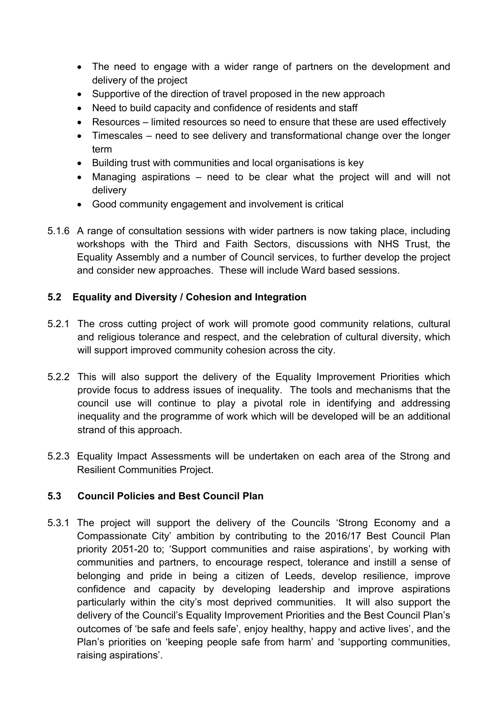- The need to engage with a wider range of partners on the development and delivery of the project
- Supportive of the direction of travel proposed in the new approach
- Need to build capacity and confidence of residents and staff
- Resources limited resources so need to ensure that these are used effectively
- Timescales need to see delivery and transformational change over the longer term
- Building trust with communities and local organisations is key
- Managing aspirations need to be clear what the project will and will not delivery
- Good community engagement and involvement is critical
- 5.1.6 A range of consultation sessions with wider partners is now taking place, including workshops with the Third and Faith Sectors, discussions with NHS Trust, the Equality Assembly and a number of Council services, to further develop the project and consider new approaches. These will include Ward based sessions.

# **5.2 Equality and Diversity / Cohesion and Integration**

- 5.2.1 The cross cutting project of work will promote good community relations, cultural and religious tolerance and respect, and the celebration of cultural diversity, which will support improved community cohesion across the city.
- 5.2.2 This will also support the delivery of the Equality Improvement Priorities which provide focus to address issues of inequality. The tools and mechanisms that the council use will continue to play a pivotal role in identifying and addressing inequality and the programme of work which will be developed will be an additional strand of this approach.
- 5.2.3 Equality Impact Assessments will be undertaken on each area of the Strong and Resilient Communities Project.

# **5.3 Council Policies and Best Council Plan**

5.3.1 The project will support the delivery of the Councils 'Strong Economy and a Compassionate City' ambition by contributing to the 2016/17 Best Council Plan priority 2051-20 to; 'Support communities and raise aspirations', by working with communities and partners, to encourage respect, tolerance and instill a sense of belonging and pride in being a citizen of Leeds, develop resilience, improve confidence and capacity by developing leadership and improve aspirations particularly within the city's most deprived communities. It will also support the delivery of the Council's Equality Improvement Priorities and the Best Council Plan's outcomes of 'be safe and feels safe', enjoy healthy, happy and active lives', and the Plan's priorities on 'keeping people safe from harm' and 'supporting communities, raising aspirations'.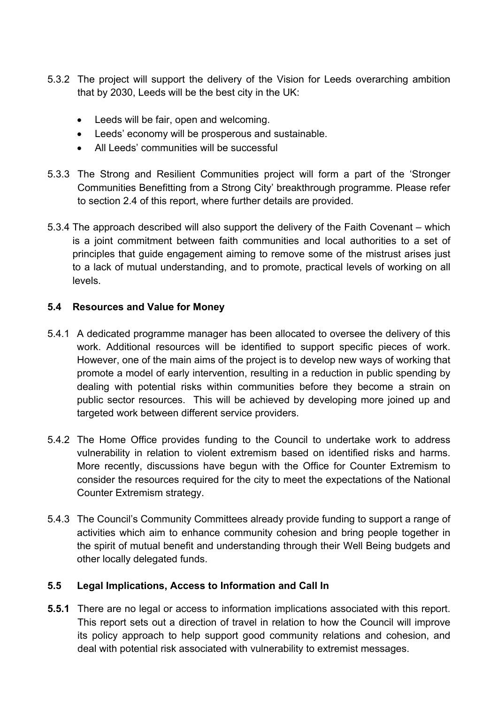- 5.3.2 The project will support the delivery of the Vision for Leeds overarching ambition that by 2030, Leeds will be the best city in the UK:
	- Leeds will be fair, open and welcoming.
	- Leeds' economy will be prosperous and sustainable.
	- All Leeds' communities will be successful
- 5.3.3 The Strong and Resilient Communities project will form a part of the 'Stronger Communities Benefitting from a Strong City' breakthrough programme. Please refer to section 2.4 of this report, where further details are provided.
- 5.3.4 The approach described will also support the delivery of the Faith Covenant which is a joint commitment between faith communities and local authorities to a set of principles that guide engagement aiming to remove some of the mistrust arises just to a lack of mutual understanding, and to promote, practical levels of working on all levels.

# **5.4 Resources and Value for Money**

- 5.4.1 A dedicated programme manager has been allocated to oversee the delivery of this work. Additional resources will be identified to support specific pieces of work. However, one of the main aims of the project is to develop new ways of working that promote a model of early intervention, resulting in a reduction in public spending by dealing with potential risks within communities before they become a strain on public sector resources. This will be achieved by developing more joined up and targeted work between different service providers.
- 5.4.2 The Home Office provides funding to the Council to undertake work to address vulnerability in relation to violent extremism based on identified risks and harms. More recently, discussions have begun with the Office for Counter Extremism to consider the resources required for the city to meet the expectations of the National Counter Extremism strategy.
- 5.4.3 The Council's Community Committees already provide funding to support a range of activities which aim to enhance community cohesion and bring people together in the spirit of mutual benefit and understanding through their Well Being budgets and other locally delegated funds.

# **5.5 Legal Implications, Access to Information and Call In**

**5.5.1** There are no legal or access to information implications associated with this report. This report sets out a direction of travel in relation to how the Council will improve its policy approach to help support good community relations and cohesion, and deal with potential risk associated with vulnerability to extremist messages.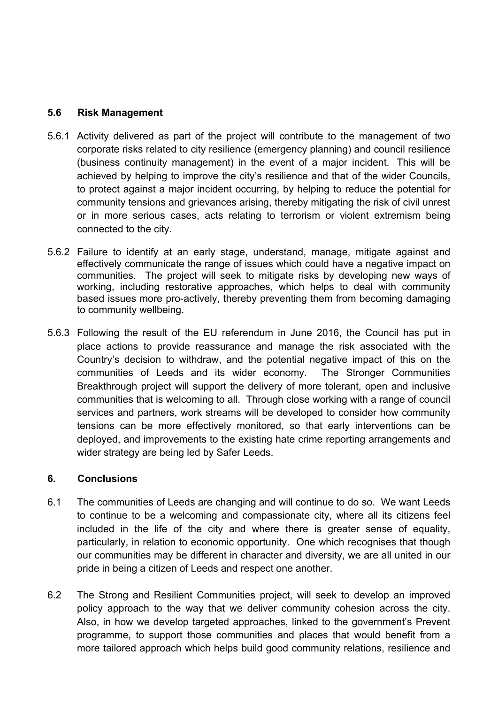### **5.6 Risk Management**

- 5.6.1 Activity delivered as part of the project will contribute to the management of two corporate risks related to city resilience (emergency planning) and council resilience (business continuity management) in the event of a major incident. This will be achieved by helping to improve the city's resilience and that of the wider Councils, to protect against a major incident occurring, by helping to reduce the potential for community tensions and grievances arising, thereby mitigating the risk of civil unrest or in more serious cases, acts relating to terrorism or violent extremism being connected to the city.
- 5.6.2 Failure to identify at an early stage, understand, manage, mitigate against and effectively communicate the range of issues which could have a negative impact on communities. The project will seek to mitigate risks by developing new ways of working, including restorative approaches, which helps to deal with community based issues more pro-actively, thereby preventing them from becoming damaging to community wellbeing.
- 5.6.3 Following the result of the EU referendum in June 2016, the Council has put in place actions to provide reassurance and manage the risk associated with the Country's decision to withdraw, and the potential negative impact of this on the communities of Leeds and its wider economy. The Stronger Communities Breakthrough project will support the delivery of more tolerant, open and inclusive communities that is welcoming to all. Through close working with a range of council services and partners, work streams will be developed to consider how community tensions can be more effectively monitored, so that early interventions can be deployed, and improvements to the existing hate crime reporting arrangements and wider strategy are being led by Safer Leeds.

#### **6. Conclusions**

- 6.1 The communities of Leeds are changing and will continue to do so. We want Leeds to continue to be a welcoming and compassionate city, where all its citizens feel included in the life of the city and where there is greater sense of equality, particularly, in relation to economic opportunity. One which recognises that though our communities may be different in character and diversity, we are all united in our pride in being a citizen of Leeds and respect one another.
- 6.2 The Strong and Resilient Communities project, will seek to develop an improved policy approach to the way that we deliver community cohesion across the city. Also, in how we develop targeted approaches, linked to the government's Prevent programme, to support those communities and places that would benefit from a more tailored approach which helps build good community relations, resilience and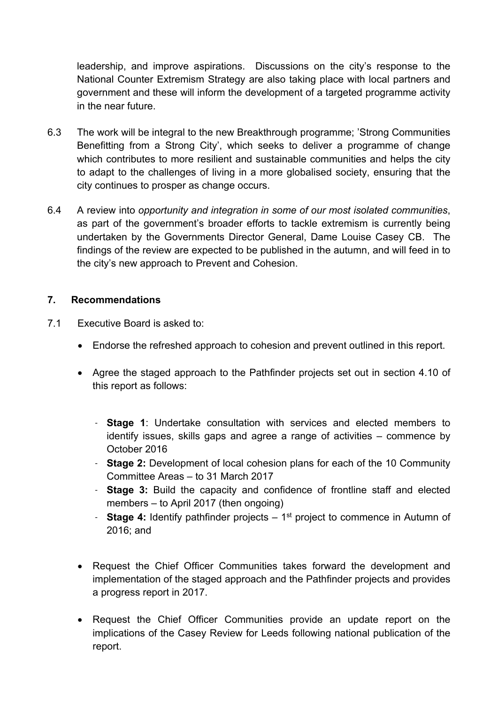leadership, and improve aspirations. Discussions on the city's response to the National Counter Extremism Strategy are also taking place with local partners and government and these will inform the development of a targeted programme activity in the near future.

- 6.3 The work will be integral to the new Breakthrough programme; 'Strong Communities Benefitting from a Strong City', which seeks to deliver a programme of change which contributes to more resilient and sustainable communities and helps the city to adapt to the challenges of living in a more globalised society, ensuring that the city continues to prosper as change occurs.
- 6.4 A review into *opportunity and integration in some of our most isolated communities*, as part of the government's broader efforts to tackle extremism is currently being undertaken by the Governments Director General, Dame Louise Casey CB. The findings of the review are expected to be published in the autumn, and will feed in to the city's new approach to Prevent and Cohesion.

### **7. Recommendations**

- 7.1 Executive Board is asked to:
	- Endorse the refreshed approach to cohesion and prevent outlined in this report.
	- Agree the staged approach to the Pathfinder projects set out in section 4.10 of this report as follows:
		- **Stage 1**: Undertake consultation with services and elected members to identify issues, skills gaps and agree a range of activities – commence by October 2016
		- **Stage 2:** Development of local cohesion plans for each of the 10 Community Committee Areas – to 31 March 2017
		- **Stage 3:** Build the capacity and confidence of frontline staff and elected members – to April 2017 (then ongoing)
		- **Stage 4:** Identify pathfinder projects 1<sup>st</sup> project to commence in Autumn of 2016; and
	- Request the Chief Officer Communities takes forward the development and implementation of the staged approach and the Pathfinder projects and provides a progress report in 2017.
	- Request the Chief Officer Communities provide an update report on the implications of the Casey Review for Leeds following national publication of the report.